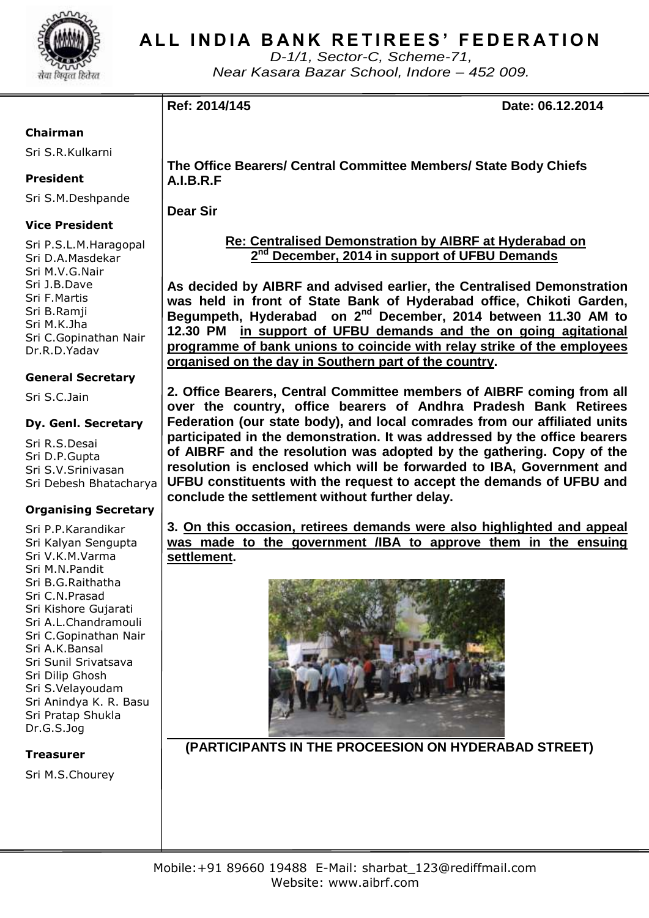

## **ALL INDIA BANK RETIREES' FEDERATION**

*D-1/1, Sector-C, Scheme-71, Near Kasara Bazar School, Indore – 452 009.*

**Ref: 2014/145 Date: 06.12.2014**

### **Chairman**

Sri S.R.Kulkarni

### **President**

Sri S.M.Deshpande

### **Vice President**

Sri P.S.L.M.Haragopal Sri D.A.Masdekar Sri M.V.G.Nair Sri J.B.Dave Sri F.Martis Sri B.Ramji Sri M.K.Jha Sri C.Gopinathan Nair Dr.R.D.Yadav

### **General Secretary**

Sri S.C.Jain

### **Dy. Genl. Secretary**

Sri R.S.Desai Sri D.P.Gupta Sri S.V.Srinivasan Sri Debesh Bhatacharya

### **Organising Secretary**

Sri P.P.Karandikar Sri Kalyan Sengupta Sri V.K.M.Varma Sri M.N.Pandit Sri B.G.Raithatha Sri C.N.Prasad Sri Kishore Gujarati Sri A.L.Chandramouli Sri C.Gopinathan Nair Sri A.K.Bansal Sri Sunil Srivatsava Sri Dilip Ghosh Sri S.Velayoudam Sri Anindya K. R. Basu Sri Pratap Shukla Dr.G.S.Jog

### **Treasurer**

Sri M.S.Chourey

**The Office Bearers/ Central Committee Members/ State Body Chiefs A.I.B.R.F**

**Dear Sir**

#### **Re: Centralised Demonstration by AIBRF at Hyderabad on 2 nd December, 2014 in support of UFBU Demands**

**As decided by AIBRF and advised earlier, the Centralised Demonstration was held in front of State Bank of Hyderabad office, Chikoti Garden, Begumpeth, Hyderabad on 2nd December, 2014 between 11.30 AM to 12.30 PM in support of UFBU demands and the on going agitational programme of bank unions to coincide with relay strike of the employees organised on the day in Southern part of the country.**

**2. Office Bearers, Central Committee members of AIBRF coming from all over the country, office bearers of Andhra Pradesh Bank Retirees Federation (our state body), and local comrades from our affiliated units participated in the demonstration. It was addressed by the office bearers of AIBRF and the resolution was adopted by the gathering. Copy of the resolution is enclosed which will be forwarded to IBA, Government and UFBU constituents with the request to accept the demands of UFBU and conclude the settlement without further delay.**

**3. On this occasion, retirees demands were also highlighted and appeal was made to the government /IBA to approve them in the ensuing settlement.**



 **(PARTICIPANTS IN THE PROCEESION ON HYDERABAD STREET)**